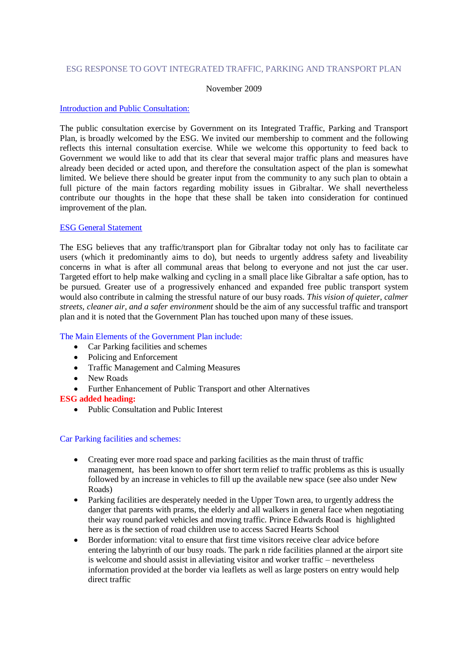## ESG RESPONSE TO GOVT INTEGRATED TRAFFIC, PARKING AND TRANSPORT PLAN

#### November 2009

### Introduction and Public Consultation:

The public consultation exercise by Government on its Integrated Traffic, Parking and Transport Plan, is broadly welcomed by the ESG. We invited our membership to comment and the following reflects this internal consultation exercise. While we welcome this opportunity to feed back to Government we would like to add that its clear that several major traffic plans and measures have already been decided or acted upon, and therefore the consultation aspect of the plan is somewhat limited. We believe there should be greater input from the community to any such plan to obtain a full picture of the main factors regarding mobility issues in Gibraltar. We shall nevertheless contribute our thoughts in the hope that these shall be taken into consideration for continued improvement of the plan.

### ESG General Statement

The ESG believes that any traffic/transport plan for Gibraltar today not only has to facilitate car users (which it predominantly aims to do), but needs to urgently address safety and liveability concerns in what is after all communal areas that belong to everyone and not just the car user. Targeted effort to help make walking and cycling in a small place like Gibraltar a safe option, has to be pursued. Greater use of a progressively enhanced and expanded free public transport system would also contribute in calming the stressful nature of our busy roads. *This vision of quieter, calmer streets, cleaner air, and a safer environment* should be the aim of any successful traffic and transport plan and it is noted that the Government Plan has touched upon many of these issues.

## The Main Elements of the Government Plan include:

- Car Parking facilities and schemes
- Policing and Enforcement
- Traffic Management and Calming Measures
- New Roads
- Further Enhancement of Public Transport and other Alternatives

#### **ESG added heading:**

• Public Consultation and Public Interest

#### Car Parking facilities and schemes:

- Creating ever more road space and parking facilities as the main thrust of traffic management, has been known to offer short term relief to traffic problems as this is usually followed by an increase in vehicles to fill up the available new space (see also under New Roads)
- Parking facilities are desperately needed in the Upper Town area, to urgently address the  $\bullet$ danger that parents with prams, the elderly and all walkers in general face when negotiating their way round parked vehicles and moving traffic. Prince Edwards Road is highlighted here as is the section of road children use to access Sacred Hearts School
- Border information: vital to ensure that first time visitors receive clear advice before entering the labyrinth of our busy roads. The park n ride facilities planned at the airport site is welcome and should assist in alleviating visitor and worker traffic – nevertheless information provided at the border via leaflets as well as large posters on entry would help direct traffic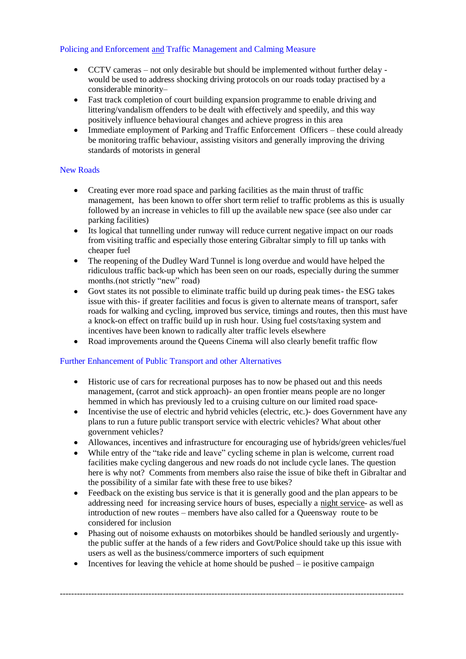# Policing and Enforcement and Traffic Management and Calming Measure

- CCTV cameras not only desirable but should be implemented without further delay would be used to address shocking driving protocols on our roads today practised by a considerable minority–
- Fast track completion of court building expansion programme to enable driving and  $\bullet$ littering/vandalism offenders to be dealt with effectively and speedily, and this way positively influence behavioural changes and achieve progress in this area
- Immediate employment of Parking and Traffic Enforcement Officers these could already be monitoring traffic behaviour, assisting visitors and generally improving the driving standards of motorists in general

# New Roads

- Creating ever more road space and parking facilities as the main thrust of traffic management, has been known to offer short term relief to traffic problems as this is usually followed by an increase in vehicles to fill up the available new space (see also under car parking facilities)
- Its logical that tunnelling under runway will reduce current negative impact on our roads from visiting traffic and especially those entering Gibraltar simply to fill up tanks with cheaper fuel
- The reopening of the Dudley Ward Tunnel is long overdue and would have helped the  $\bullet$ ridiculous traffic back-up which has been seen on our roads, especially during the summer months.(not strictly "new" road)
- Govt states its not possible to eliminate traffic build up during peak times- the ESG takes  $\bullet$ issue with this- if greater facilities and focus is given to alternate means of transport, safer roads for walking and cycling, improved bus service, timings and routes, then this must have a knock-on effect on traffic build up in rush hour. Using fuel costs/taxing system and incentives have been known to radically alter traffic levels elsewhere
- Road improvements around the Queens Cinema will also clearly benefit traffic flow

# Further Enhancement of Public Transport and other Alternatives

- Historic use of cars for recreational purposes has to now be phased out and this needs management, (carrot and stick approach)- an open frontier means people are no longer hemmed in which has previously led to a cruising culture on our limited road space-
- Incentivise the use of electric and hybrid vehicles (electric, etc.)- does Government have any plans to run a future public transport service with electric vehicles? What about other government vehicles?
- Allowances, incentives and infrastructure for encouraging use of hybrids/green vehicles/fuel
- While entry of the "take ride and leave" cycling scheme in plan is welcome, current road  $\bullet$ facilities make cycling dangerous and new roads do not include cycle lanes. The question here is why not? Comments from members also raise the issue of bike theft in Gibraltar and the possibility of a similar fate with these free to use bikes?
- Feedback on the existing bus service is that it is generally good and the plan appears to be addressing need for increasing service hours of buses, especially a night service- as well as introduction of new routes – members have also called for a Queensway route to be considered for inclusion
- Phasing out of noisome exhausts on motorbikes should be handled seriously and urgentlythe public suffer at the hands of a few riders and Govt/Police should take up this issue with users as well as the business/commerce importers of such equipment
- Incentives for leaving the vehicle at home should be pushed ie positive campaign

------------------------------------------------------------------------------------------------------------------------